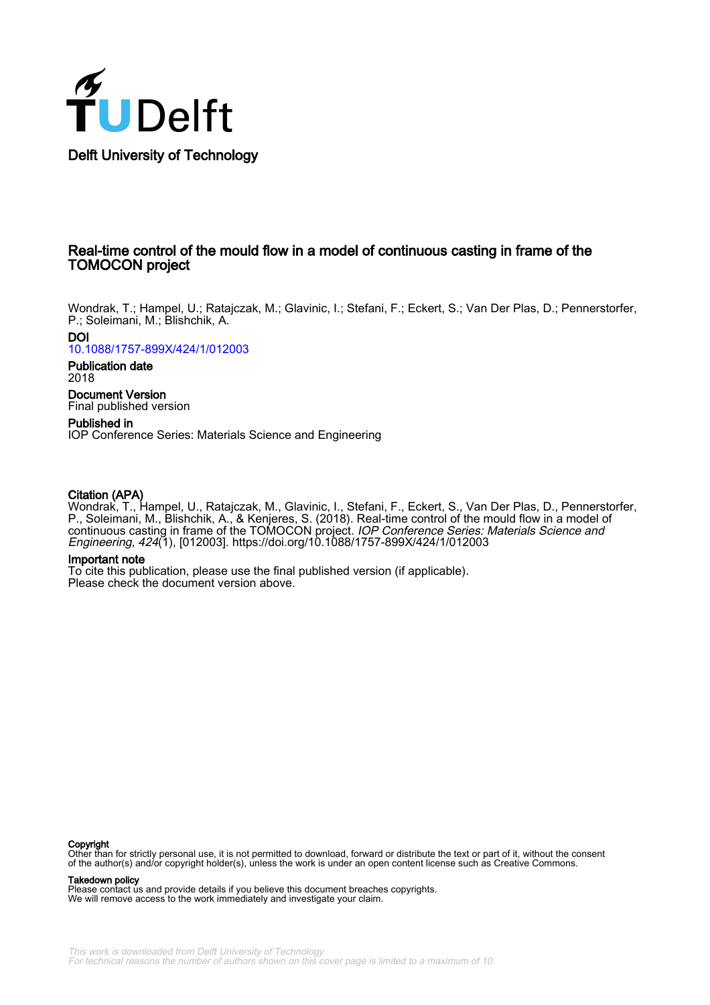

# Real-time control of the mould flow in a model of continuous casting in frame of the TOMOCON project

Wondrak, T.; Hampel, U.; Ratajczak, M.; Glavinic, I.; Stefani, F.; Eckert, S.; Van Der Plas, D.; Pennerstorfer, P.; Soleimani, M.; Blishchik, A. **DOI** 

[10.1088/1757-899X/424/1/012003](https://doi.org/10.1088/1757-899X/424/1/012003)

Publication date 2018

Document Version Final published version

Published in IOP Conference Series: Materials Science and Engineering

## Citation (APA)

Wondrak, T., Hampel, U., Ratajczak, M., Glavinic, I., Stefani, F., Eckert, S., Van Der Plas, D., Pennerstorfer, P., Soleimani, M., Blishchik, A., & Kenjeres, S. (2018). Real-time control of the mould flow in a model of continuous casting in frame of the TOMOCON project. *IOP Conference Series: Materials Science and* Engineering, 424(1), [012003]. <https://doi.org/10.1088/1757-899X/424/1/012003>

#### Important note

To cite this publication, please use the final published version (if applicable). Please check the document version above.

#### **Copyright**

Other than for strictly personal use, it is not permitted to download, forward or distribute the text or part of it, without the consent<br>of the author(s) and/or copyright holder(s), unless the work is under an open content

Takedown policy

Please contact us and provide details if you believe this document breaches copyrights. We will remove access to the work immediately and investigate your claim.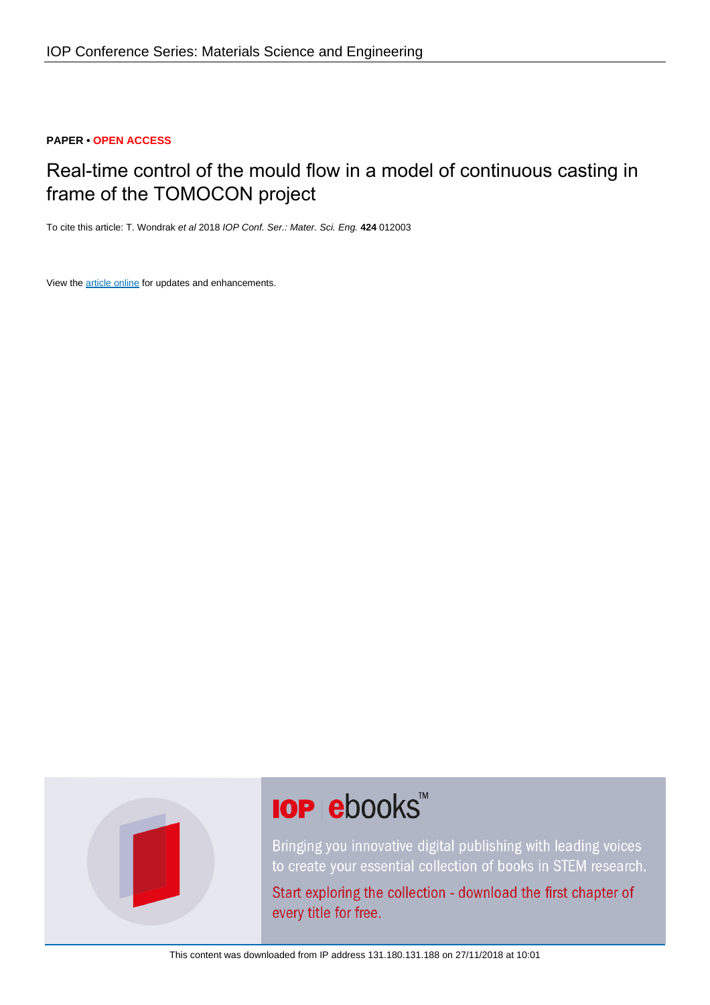# **PAPER • OPEN ACCESS**

# Real-time control of the mould flow in a model of continuous casting in frame of the TOMOCON project

To cite this article: T. Wondrak et al 2018 IOP Conf. Ser.: Mater. Sci. Eng. **424** 012003

View the [article online](https://doi.org/10.1088/1757-899X/424/1/012003) for updates and enhancements.



# **IOP ebooks**™

Bringing you innovative digital publishing with leading voices to create your essential collection of books in STEM research.

Start exploring the collection - download the first chapter of every title for free.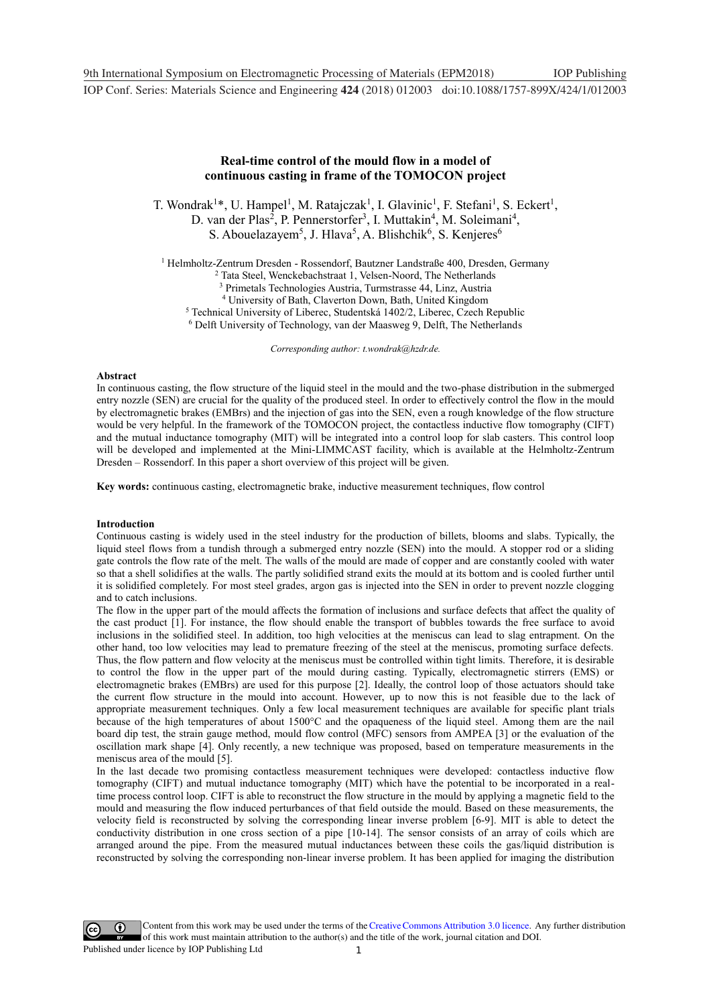### **Real-time control of the mould flow in a model of continuous casting in frame of the TOMOCON project**

T. Wondrak<sup>1\*</sup>, U. Hampel<sup>1</sup>, M. Ratajczak<sup>1</sup>, I. Glavinic<sup>1</sup>, F. Stefani<sup>1</sup>, S. Eckert<sup>1</sup>, D. van der Plas<sup>2</sup>, P. Pennerstorfer<sup>3</sup>, I. Muttakin<sup>4</sup>, M. Soleimani<sup>4</sup>, S. Abouelazayem<sup>5</sup>, J. Hlava<sup>5</sup>, A. Blishchik<sup>6</sup>, S. Kenjeres<sup>6</sup>

 Helmholtz-Zentrum Dresden - Rossendorf, Bautzner Landstraße 400, Dresden, Germany Tata Steel, Wenckebachstraat 1, Velsen-Noord, The Netherlands Primetals Technologies Austria, Turmstrasse 44, Linz, Austria University of Bath, Claverton Down, Bath, United Kingdom Technical University of Liberec, Studentská 1402/2, Liberec, Czech Republic Delft University of Technology, van der Maasweg 9, Delft, The Netherlands

*Corresponding author: t.wondrak@hzdr.de.*

#### **Abstract**

In continuous casting, the flow structure of the liquid steel in the mould and the two-phase distribution in the submerged entry nozzle (SEN) are crucial for the quality of the produced steel. In order to effectively control the flow in the mould by electromagnetic brakes (EMBrs) and the injection of gas into the SEN, even a rough knowledge of the flow structure would be very helpful. In the framework of the TOMOCON project, the contactless inductive flow tomography (CIFT) and the mutual inductance tomography (MIT) will be integrated into a control loop for slab casters. This control loop will be developed and implemented at the Mini-LIMMCAST facility, which is available at the Helmholtz-Zentrum Dresden – Rossendorf. In this paper a short overview of this project will be given.

**Key words:** continuous casting, electromagnetic brake, inductive measurement techniques, flow control

#### **Introduction**

Continuous casting is widely used in the steel industry for the production of billets, blooms and slabs. Typically, the liquid steel flows from a tundish through a submerged entry nozzle (SEN) into the mould. A stopper rod or a sliding gate controls the flow rate of the melt. The walls of the mould are made of copper and are constantly cooled with water so that a shell solidifies at the walls. The partly solidified strand exits the mould at its bottom and is cooled further until it is solidified completely. For most steel grades, argon gas is injected into the SEN in order to prevent nozzle clogging and to catch inclusions.

The flow in the upper part of the mould affects the formation of inclusions and surface defects that affect the quality of the cast product [1]. For instance, the flow should enable the transport of bubbles towards the free surface to avoid inclusions in the solidified steel. In addition, too high velocities at the meniscus can lead to slag entrapment. On the other hand, too low velocities may lead to premature freezing of the steel at the meniscus, promoting surface defects. Thus, the flow pattern and flow velocity at the meniscus must be controlled within tight limits. Therefore, it is desirable to control the flow in the upper part of the mould during casting. Typically, electromagnetic stirrers (EMS) or electromagnetic brakes (EMBrs) are used for this purpose [2]. Ideally, the control loop of those actuators should take the current flow structure in the mould into account. However, up to now this is not feasible due to the lack of appropriate measurement techniques. Only a few local measurement techniques are available for specific plant trials because of the high temperatures of about 1500°C and the opaqueness of the liquid steel. Among them are the nail board dip test, the strain gauge method, mould flow control (MFC) sensors from AMPEA [3] or the evaluation of the oscillation mark shape [4]. Only recently, a new technique was proposed, based on temperature measurements in the meniscus area of the mould [5].

In the last decade two promising contactless measurement techniques were developed: contactless inductive flow tomography (CIFT) and mutual inductance tomography (MIT) which have the potential to be incorporated in a realtime process control loop. CIFT is able to reconstruct the flow structure in the mould by applying a magnetic field to the mould and measuring the flow induced perturbances of that field outside the mould. Based on these measurements, the velocity field is reconstructed by solving the corresponding linear inverse problem [6-9]. MIT is able to detect the conductivity distribution in one cross section of a pipe [10-14]. The sensor consists of an array of coils which are arranged around the pipe. From the measured mutual inductances between these coils the gas/liquid distribution is reconstructed by solving the corresponding non-linear inverse problem. It has been applied for imaging the distribution

Content from this work may be used under the terms of the[Creative Commons Attribution 3.0 licence.](http://creativecommons.org/licenses/by/3.0) Any further distribution of this work must maintain attribution to the author(s) and the title of the work, journal citation and DOI. Published under licence by IOP Publishing Ltd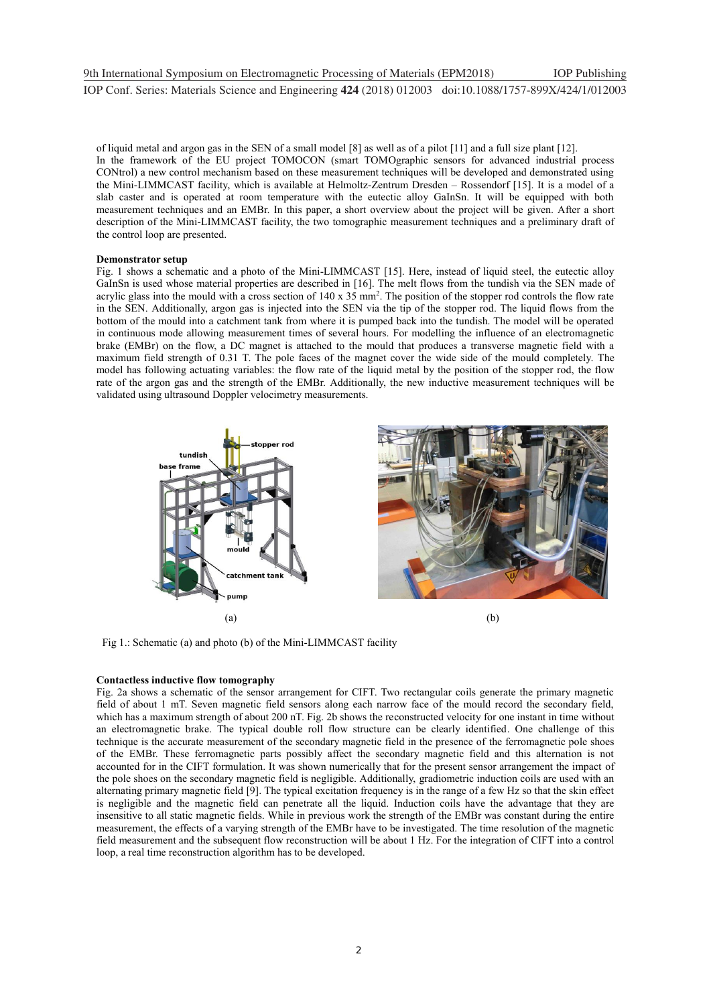of liquid metal and argon gas in the SEN of a small model [8] as well as of a pilot [11] and a full size plant [12]. In the framework of the EU project TOMOCON (smart TOMOgraphic sensors for advanced industrial process CONtrol) a new control mechanism based on these measurement techniques will be developed and demonstrated using the Mini-LIMMCAST facility, which is available at Helmoltz-Zentrum Dresden – Rossendorf [15]. It is a model of a slab caster and is operated at room temperature with the eutectic alloy GaInSn. It will be equipped with both measurement techniques and an EMBr. In this paper, a short overview about the project will be given. After a short description of the Mini-LIMMCAST facility, the two tomographic measurement techniques and a preliminary draft of the control loop are presented.

#### **Demonstrator setup**

Fig. 1 shows a schematic and a photo of the Mini-LIMMCAST [15]. Here, instead of liquid steel, the eutectic alloy GaInSn is used whose material properties are described in [16]. The melt flows from the tundish via the SEN made of acrylic glass into the mould with a cross section of  $140 \times 35$  mm<sup>2</sup>. The position of the stopper rod controls the flow rate in the SEN. Additionally, argon gas is injected into the SEN via the tip of the stopper rod. The liquid flows from the bottom of the mould into a catchment tank from where it is pumped back into the tundish. The model will be operated in continuous mode allowing measurement times of several hours. For modelling the influence of an electromagnetic brake (EMBr) on the flow, a DC magnet is attached to the mould that produces a transverse magnetic field with a maximum field strength of 0.31 T. The pole faces of the magnet cover the wide side of the mould completely. The model has following actuating variables: the flow rate of the liquid metal by the position of the stopper rod, the flow rate of the argon gas and the strength of the EMBr. Additionally, the new inductive measurement techniques will be validated using ultrasound Doppler velocimetry measurements.



Fig 1.: Schematic (a) and photo (b) of the Mini-LIMMCAST facility

#### **Contactless inductive flow tomography**

Fig. 2a shows a schematic of the sensor arrangement for CIFT. Two rectangular coils generate the primary magnetic field of about 1 mT. Seven magnetic field sensors along each narrow face of the mould record the secondary field, which has a maximum strength of about 200 nT. Fig. 2b shows the reconstructed velocity for one instant in time without an electromagnetic brake. The typical double roll flow structure can be clearly identified. One challenge of this technique is the accurate measurement of the secondary magnetic field in the presence of the ferromagnetic pole shoes of the EMBr. These ferromagnetic parts possibly affect the secondary magnetic field and this alternation is not accounted for in the CIFT formulation. It was shown numerically that for the present sensor arrangement the impact of the pole shoes on the secondary magnetic field is negligible. Additionally, gradiometric induction coils are used with an alternating primary magnetic field [9]. The typical excitation frequency is in the range of a few Hz so that the skin effect is negligible and the magnetic field can penetrate all the liquid. Induction coils have the advantage that they are insensitive to all static magnetic fields. While in previous work the strength of the EMBr was constant during the entire measurement, the effects of a varying strength of the EMBr have to be investigated. The time resolution of the magnetic field measurement and the subsequent flow reconstruction will be about 1 Hz. For the integration of CIFT into a control loop, a real time reconstruction algorithm has to be developed.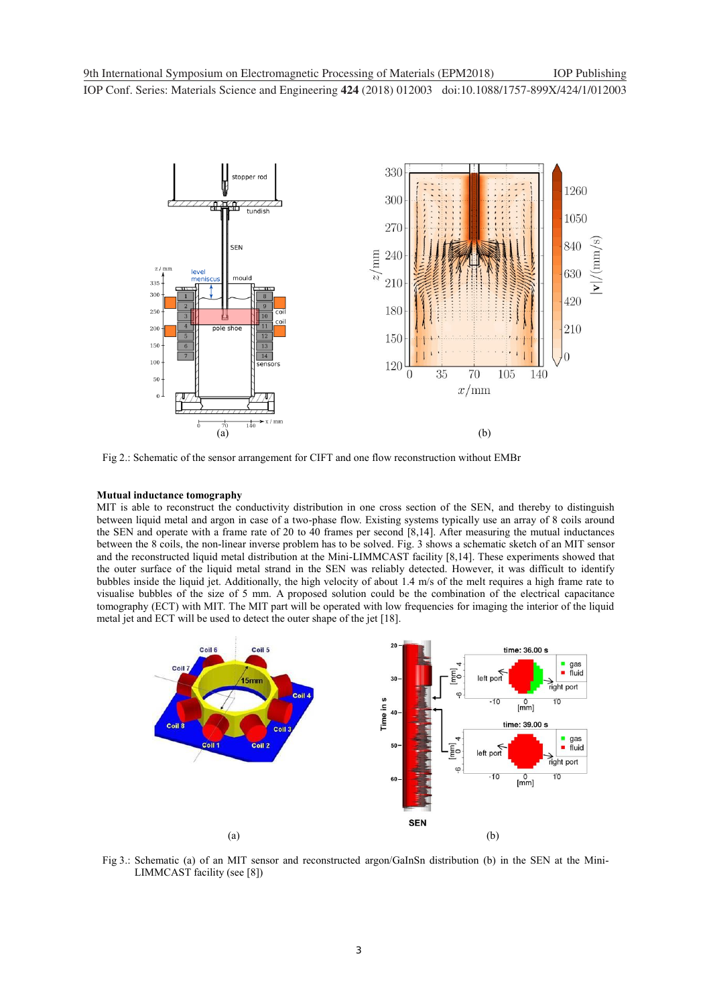

Fig 2.: Schematic of the sensor arrangement for CIFT and one flow reconstruction without EMBr

#### **Mutual inductance tomography**

MIT is able to reconstruct the conductivity distribution in one cross section of the SEN, and thereby to distinguish between liquid metal and argon in case of a two-phase flow. Existing systems typically use an array of 8 coils around the SEN and operate with a frame rate of 20 to 40 frames per second [8,14]. After measuring the mutual inductances between the 8 coils, the non-linear inverse problem has to be solved. Fig. 3 shows a schematic sketch of an MIT sensor and the reconstructed liquid metal distribution at the Mini-LIMMCAST facility [8,14]. These experiments showed that the outer surface of the liquid metal strand in the SEN was reliably detected. However, it was difficult to identify bubbles inside the liquid jet. Additionally, the high velocity of about 1.4 m/s of the melt requires a high frame rate to visualise bubbles of the size of 5 mm. A proposed solution could be the combination of the electrical capacitance tomography (ECT) with MIT. The MIT part will be operated with low frequencies for imaging the interior of the liquid metal jet and ECT will be used to detect the outer shape of the jet [18].



Fig 3.: Schematic (a) of an MIT sensor and reconstructed argon/GaInSn distribution (b) in the SEN at the Mini-LIMMCAST facility (see [8])